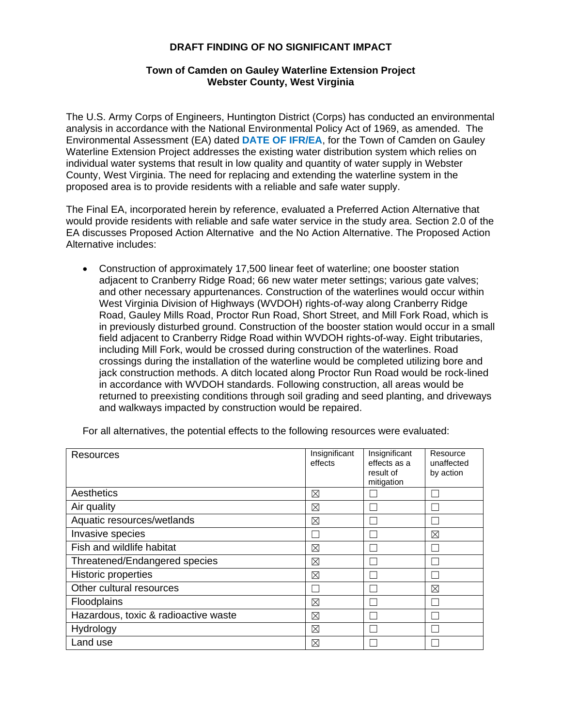## **DRAFT FINDING OF NO SIGNIFICANT IMPACT**

## **Town of Camden on Gauley Waterline Extension Project Webster County, West Virginia**

 proposed area is to provide residents with a reliable and safe water supply. The U.S. Army Corps of Engineers, Huntington District (Corps) has conducted an environmental analysis in accordance with the National Environmental Policy Act of 1969, as amended. The Environmental Assessment (EA) dated **DATE OF IFR/EA**, for the Town of Camden on Gauley Waterline Extension Project addresses the existing water distribution system which relies on individual water systems that result in low quality and quantity of water supply in Webster County, West Virginia. The need for replacing and extending the waterline system in the

 The Final EA, incorporated herein by reference, evaluated a Preferred Action Alternative that EA discusses Proposed Action Alternative and the No Action Alternative. The Proposed Action would provide residents with reliable and safe water service in the study area. Section 2.0 of the Alternative includes:

and walkways impacted by construction would be repaired. Construction of approximately 17,500 linear feet of waterline; one booster station adjacent to Cranberry Ridge Road; 66 new water meter settings; various gate valves; and other necessary appurtenances. Construction of the waterlines would occur within West Virginia Division of Highways (WVDOH) rights-of-way along Cranberry Ridge Road, Gauley Mills Road, Proctor Run Road, Short Street, and Mill Fork Road, which is in previously disturbed ground. Construction of the booster station would occur in a small field adjacent to Cranberry Ridge Road within WVDOH rights-of-way. Eight tributaries, including Mill Fork, would be crossed during construction of the waterlines. Road crossings during the installation of the waterline would be completed utilizing bore and jack construction methods. A ditch located along Proctor Run Road would be rock-lined in accordance with WVDOH standards. Following construction, all areas would be returned to preexisting conditions through soil grading and seed planting, and driveways

| and walkways impacted by construction would be repaired.                               |                          |                                                          |                                     |  |
|----------------------------------------------------------------------------------------|--------------------------|----------------------------------------------------------|-------------------------------------|--|
| For all alternatives, the potential effects to the following resources were evaluated: |                          |                                                          |                                     |  |
| Resources                                                                              | Insignificant<br>effects | Insignificant<br>effects as a<br>result of<br>mitigation | Resource<br>unaffected<br>by action |  |
| Aesthetics                                                                             | ⊠                        |                                                          |                                     |  |
| Air quality                                                                            | ⊠                        |                                                          |                                     |  |
| Aquatic resources/wetlands                                                             | ⊠                        |                                                          |                                     |  |
| Invasive species                                                                       |                          |                                                          | ⊠                                   |  |
| Fish and wildlife habitat                                                              | ⊠                        |                                                          |                                     |  |
| Threatened/Endangered species                                                          | $\boxtimes$              |                                                          |                                     |  |
| <b>Historic properties</b>                                                             | ⊠                        |                                                          |                                     |  |
| Other cultural resources                                                               | L                        |                                                          | ⊠                                   |  |
| <b>Floodplains</b>                                                                     | ⊠                        |                                                          |                                     |  |
| Hazardous, toxic & radioactive waste                                                   | ⊠                        |                                                          |                                     |  |
| Hydrology                                                                              | ⊠                        |                                                          |                                     |  |
| Land use                                                                               | ⊠                        |                                                          |                                     |  |